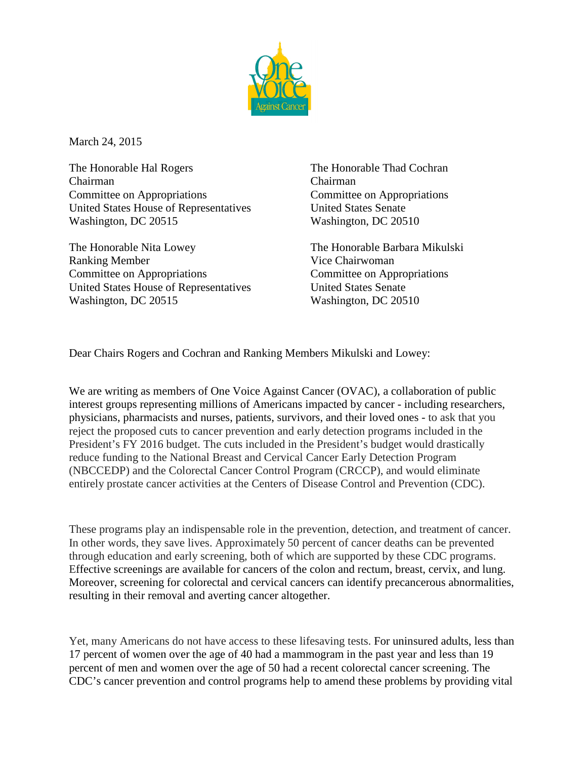

March 24, 2015

The Honorable Hal Rogers The Honorable Thad Cochran Chairman Chairman Committee on Appropriations Committee on Appropriations United States House of Representatives United States Senate Washington, DC 20515 Washington, DC 20510

The Honorable Nita Lowey The Honorable Barbara Mikulski Ranking Member Vice Chairwoman Committee on Appropriations Committee on Appropriations United States House of Representatives United States Senate Washington, DC 20515 Washington, DC 20510

Dear Chairs Rogers and Cochran and Ranking Members Mikulski and Lowey:

We are writing as members of One Voice Against Cancer (OVAC), a collaboration of public interest groups representing millions of Americans impacted by cancer - including researchers, physicians, pharmacists and nurses, patients, survivors, and their loved ones - to ask that you reject the proposed cuts to cancer prevention and early detection programs included in the President's FY 2016 budget. The cuts included in the President's budget would drastically reduce funding to the National Breast and Cervical Cancer Early Detection Program (NBCCEDP) and the Colorectal Cancer Control Program (CRCCP), and would eliminate entirely prostate cancer activities at the Centers of Disease Control and Prevention (CDC).

These programs play an indispensable role in the prevention, detection, and treatment of cancer. In other words, they save lives. Approximately 50 percent of cancer deaths can be prevented through education and early screening, both of which are supported by these CDC programs. Effective screenings are available for cancers of the colon and rectum, breast, cervix, and lung. Moreover, screening for colorectal and cervical cancers can identify precancerous abnormalities, resulting in their removal and averting cancer altogether.

Yet, many Americans do not have access to these lifesaving tests. For uninsured adults, less than 17 percent of women over the age of 40 had a mammogram in the past year and less than 19 percent of men and women over the age of 50 had a recent colorectal cancer screening. The CDC's cancer prevention and control programs help to amend these problems by providing vital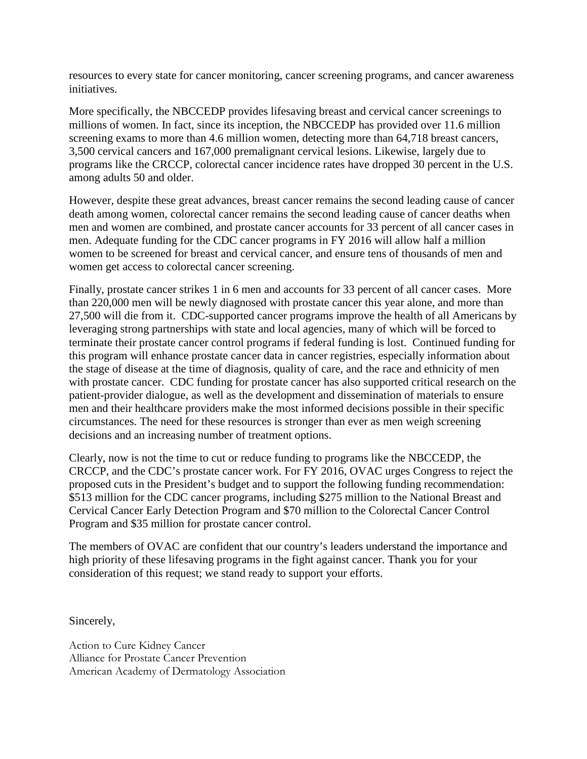resources to every state for cancer monitoring, cancer screening programs, and cancer awareness initiatives.

More specifically, the NBCCEDP provides lifesaving breast and cervical cancer screenings to millions of women. In fact, since its inception, the NBCCEDP has provided over 11.6 million screening exams to more than 4.6 million women, detecting more than 64,718 breast cancers, 3,500 cervical cancers and 167,000 premalignant cervical lesions. Likewise, largely due to programs like the CRCCP, colorectal cancer incidence rates have dropped 30 percent in the U.S. among adults 50 and older.

However, despite these great advances, breast cancer remains the second leading cause of cancer death among women, colorectal cancer remains the second leading cause of cancer deaths when men and women are combined, and prostate cancer accounts for 33 percent of all cancer cases in men. Adequate funding for the CDC cancer programs in FY 2016 will allow half a million women to be screened for breast and cervical cancer, and ensure tens of thousands of men and women get access to colorectal cancer screening.

Finally, prostate cancer strikes 1 in 6 men and accounts for 33 percent of all cancer cases. More than 220,000 men will be newly diagnosed with prostate cancer this year alone, and more than 27,500 will die from it. CDC-supported cancer programs improve the health of all Americans by leveraging strong partnerships with state and local agencies, many of which will be forced to terminate their prostate cancer control programs if federal funding is lost. Continued funding for this program will enhance prostate cancer data in cancer registries, especially information about the stage of disease at the time of diagnosis, quality of care, and the race and ethnicity of men with prostate cancer. CDC funding for prostate cancer has also supported critical research on the patient-provider dialogue, as well as the development and dissemination of materials to ensure men and their healthcare providers make the most informed decisions possible in their specific circumstances. The need for these resources is stronger than ever as men weigh screening decisions and an increasing number of treatment options.

Clearly, now is not the time to cut or reduce funding to programs like the NBCCEDP, the CRCCP, and the CDC's prostate cancer work. For FY 2016, OVAC urges Congress to reject the proposed cuts in the President's budget and to support the following funding recommendation: \$513 million for the CDC cancer programs, including \$275 million to the National Breast and Cervical Cancer Early Detection Program and \$70 million to the Colorectal Cancer Control Program and \$35 million for prostate cancer control.

The members of OVAC are confident that our country's leaders understand the importance and high priority of these lifesaving programs in the fight against cancer. Thank you for your consideration of this request; we stand ready to support your efforts.

Sincerely,

Action to Cure Kidney Cancer Alliance for Prostate Cancer Prevention American Academy of Dermatology Association